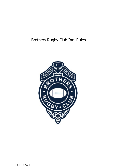# Brothers Rugby Club Inc. Rules

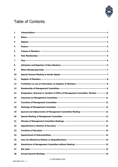

# Table of Contents

| 1                       |                                                                                            |
|-------------------------|--------------------------------------------------------------------------------------------|
| $\overline{\mathbf{2}}$ |                                                                                            |
| 3                       |                                                                                            |
| 4                       |                                                                                            |
| 5                       |                                                                                            |
| 6                       |                                                                                            |
| 7                       |                                                                                            |
| 8                       |                                                                                            |
| 9                       |                                                                                            |
| 10                      |                                                                                            |
| 11                      |                                                                                            |
| 12                      |                                                                                            |
| 13                      |                                                                                            |
| 15                      | Resignation, Removal or Vacation of Office of Management Committee Member ---------- 10    |
| 16                      |                                                                                            |
| 17                      |                                                                                            |
| 18                      |                                                                                            |
| 19                      | Quorum and Adjournment of Management Committee Meeting ---------------------------- 13     |
| 20                      |                                                                                            |
| 21                      |                                                                                            |
| 22                      |                                                                                            |
| 23                      |                                                                                            |
| 24                      |                                                                                            |
| 25                      |                                                                                            |
| 26                      | Resolutions of Management Committee without Meeting ----------------------------------- 15 |
| 27                      |                                                                                            |
| 28                      |                                                                                            |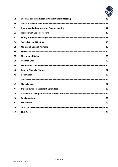

| 29 |  |
|----|--|
| 30 |  |
| 31 |  |
| 32 |  |
| 33 |  |
| 34 |  |
| 35 |  |
| 36 |  |
| 37 |  |
| 38 |  |
| 39 |  |
| 40 |  |
| 41 |  |
| 42 |  |
| 43 |  |
| 44 |  |
| 45 |  |
| 46 |  |
| 47 |  |
| 48 |  |
| 49 |  |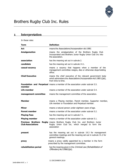

# <span id="page-3-0"></span>**1 Interpretation**

In these rules:

| <b>Term</b>                                          | <b>Definition</b>                                                                                                                                   |
|------------------------------------------------------|-----------------------------------------------------------------------------------------------------------------------------------------------------|
| Act                                                  | means the Associations Incorporation Act 1981.                                                                                                      |
| <b>Amalgamation</b>                                  | means the amalgamation of the Brothers Rugby Club<br>Incorporated and Brothers Junior Rugby Union Club Inc into<br>the association.                 |
| association                                          | has the meaning set out in subrule 2.                                                                                                               |
| candidate                                            | has the meaning set out in subrule 14.1.                                                                                                            |
| casual vacancy                                       | means a vacancy that happens when a member of the<br>management committee resigns, dies or otherwise stops holding<br>office.                       |
| <b>Chief Executive</b>                               | means the chief executive of the relevant government body<br>which administers the Associations Incorporation Act 1981 (Qld),<br>from time to time. |
| member                                               | <b>Foundation and Perpetual</b> means a member of the association under subrule 5.5.                                                                |
| Life member                                          | means a member of the association under subrule 5.4.                                                                                                |
| management committee                                 | means the management committee of the association.                                                                                                  |
| <b>Member</b>                                        | means a Playing member, Parent member, Supporter member,<br>Life member or Foundation and Perpetual member.                                         |
| <b>Minor</b>                                         | means a natural person under eighteen years of age.                                                                                                 |
| <b>Parent member</b>                                 | means a member of the association under subrule 5.2.                                                                                                |
| <b>Playing Fees</b>                                  | has the meaning set out in subrule 7.1.                                                                                                             |
| <b>Playing member</b>                                | means a member of the association under subrule 5.1.                                                                                                |
| <b>Previous Brothers</b><br><b>Club Associations</b> | <b>Rugby</b> means Brothers Rugby Club Inc. and Brothers Junior<br>Rugby Union Club Inc. which merged to form the<br>association                    |
| present                                              | has the meaning set out in subrule 19.3 for management<br>committee meetings and the meaning set out in subrule 31.2 for<br>general meetings.       |
| proxy                                                | means a proxy validly appointed by a member in the form<br>prescribed by the management committee.                                                  |
| rehabilitation period                                | has the meaning given in the Criminal Law (Rehabilitation of<br>Offenders) Act 1986(Qld).                                                           |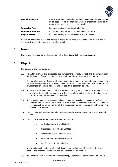

| special resolution                        | means a resolution passed at a general meeting of the association<br>by at least 75% of the members who are present in person or by<br>proxy at that meeting and entitled to vote. |
|-------------------------------------------|------------------------------------------------------------------------------------------------------------------------------------------------------------------------------------|
| <b>Supporter Fees</b>                     | has the meaning set out in subrule 7.2.                                                                                                                                            |
| <b>Supporter member</b><br>surplus assets | means a member of the association under subrule 5.3.<br>has the meaning set out in section 92(3) of the Act.                                                                       |

A word or expression that is not defined in these model rules, but is defined in the Act has, if the context permits, the meaning given by the Act.

#### <span id="page-4-0"></span>**2 Name**

The name of the incorporated association is Brothers Rugby Club Inc. (**association**).

### <span id="page-4-1"></span>**3 Objects**

The objects of the association are:

3.1 To foster, promote and encourage the development of rugby football and all forms of sport for the benefit of males and females wishing to partake in the game in all its forms.

The development of Rugby and other sports is primarily to promote and support the personal development of all association Members on a fair and equitable basis be they Junior or Senior players, across all ages, and abilities, from beginners to elite.

- 3.2 To establish, support and aid in the formation of any Association, Club or Organisation calculated to benefit the members of the association and to make contribution to any insurance fund, for the benefit of members.
- 3.3 To promote, and to encourage players, parents, coaches, managers, referees and administrators to adopt and comply with the codes of behavioural conduct as promoted or published by or on behalf of the Association or any association with which the association is affiliated.
- 3.4 To conduct and promote inter-club, interstate and overseas rugby football matches and tours.
- 3.5 To cooperate as a free and independent entity with:
	- Australian Rugby Union Limited;
	- Queensland Rugby Union Limited;
	- Queensland Junior Rugby Union Inc;
	- Brisbane Junior Rugby Union Inc; and
	- Qld Suburban Rugby Union Inc,

in advancing rugby union football in Brisbane, and to that end, affiliate itself to those entities and or other entities with similar objects to the association.

3.6 To promote the qualities of sportsmanship, leadership, consideration of others,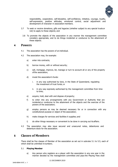

responsibility, cooperation, self-discipline, self-confidence, initiative, courage, loyalty, self-expression, positive attitudes, emotional control, social adjustment and development of character in association members.

- 3.7 To seek or receive donations, gifts and legacies (whether subject to any special trusts or not) to apply to these objects; and
	- 3.8 To promote the objects of the association in any manner the management committee considers appropriate, and to do things incidental or conducive to the attainment of these objects.

#### <span id="page-5-0"></span>**4 Powers**

- 4.1 The association has the powers of an individual.
- 4.2 The association may, for example:
	- a) enter into contracts;
	- b) borrow money, with or without security;
	- c) sell, mortgage, improve, let, manage or turn to account all or any of the property ofthe association;
	- d) invest the association's funds:
		- i. in any way authorised by laws, in the State of Queensland, regulating the investment of trust funds; or
		- ii. in any way expressly authorised by the management committee from time to time;
	- e) acquire, hold, deal with and dispose of property;
	- f) to enter into any arrangements with any Government or Authority that are incidental or conducive to the attainment of the objects and the exercise of the powers of the association;
	- g) employ persons as may be deemed necessary for or in connection with any constitutional purpose or object of the association;
	- h) make charges for services and facilities it supplies; and
	- i) do other things necessary or convenient to be done in carrying out its affairs.
- 4.3 The association may also issue secured and unsecured notes, debentures and debenture stock for the association.

#### <span id="page-5-1"></span>**5 Classes of Members**

There shall be five classes of Member of the association as set out in subrules [5.1](#page-5-2) to [5.5,](#page-7-1) each of which shall be unlimited innumbers.

#### <span id="page-5-2"></span>5.1 **Playing Member**

a) Any person who registers as a player with the association in any one year in the manner decided by the management committee and pays the Playing Fees shall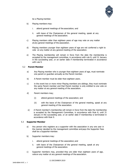

be a Playing member.

- b) Playing members may:
	- i. attend general meetings of the association; and
	- ii. with leave of the Chairperson of the general meeting, speak at any general meetings of the association.
- c) Playing members older than eighteen years of age may vote on any matter at any general meetings of the association.
- d) Playing members younger than eighteen years of age are not conferred a right to vote on any matter at any general meeting of the association.
- e) The Playing membership will remain in force from the date the membership is accepted by the management committee, in accordance with rule 8, until 31 January in the succeeding year, or an earlier date if membership terminated in accordance with rule 9.

#### <span id="page-6-0"></span>5.2 **Parent Member**

- a) Any Playing member who is younger than eighteen years of age, must nominate one parent or guardian annually as the Parent member.
- b) A Parent member must be older than eighteen years.
- c) in the event two or more minor Playing members are siblings, they must nominate the same Parent member and that Parent member is only entitled to one vote on any matter at any general meeting of the association.
- d) Parent members may;
	- (i) attend general meetings of the association; and
	- (ii) with the leave of the Chairperson of the general meeting, speak at any general meeting of the association.
- e) A Parent member's membership will remain in force from the date the membership is accepted by the Management Committee, in accordance with Rule 8, until 31 January in the succeeding year, or an earlier date if membership is terminated in accordance with Rule 9.

#### <span id="page-6-1"></span>5.3 **Supporter Member**

- a) Any person who registers as a supporter with the association in any one year in the manner decided by the management committee and pays the Supporter Fees shall be a Supporter member.
- b) Supporter members may:
	- i. attend general meetings of the association; and
	- ii. with leave of the Chairperson of the general meeting, speak at any general meetings of the association.
- c) Supporter members may, provided they are older than eighteen years of age, voteon any matter at any general meetings of the association.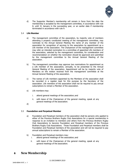

d) The Supporter Member's membership will remain in force from the date the membership is accepted by the management committee, in accordance with rule 8, until 31 January in the succeeding year, or an earlier date if membership terminated in accordance with rule 9.

#### <span id="page-7-2"></span>5.4 **Life Member**

- a) The management committee of the association, by majority vote of members attending a properly constituted meeting of the management committee, may nominate to the Annual General Meeting the name of any member of the association for recognition of services to the association by appointment as a Life member of the association. The Chairperson of the management committee may refer an intended nomination to a committee of appointed Life members of the association, selected by the management committee, for consideration and recommendation on whether the nomination should be approved and submitted by the management committee to the Annual General Meeting of the association.
- b) The management committee may approve two nominations for appointment as a Life member of the association, annually, to be presented to the Annual General Meeting of the association. Appointment will be by majority vote of Members on the motion received from the management committee at the Annual General Meeting of the association.
- c) The names of Life members appointed by the Members of the association shall be recorded in a register kept for this purpose by the Secretary of the association. Life members of the association shall not be required to pay annual subscriptions to remain a Member of the association.
- e) Life members may:
	- i. attend general meetings of the association; and
	- ii. with leave of the Chairperson of the general meeting, speak at any general meetings of the association.
- d)

#### <span id="page-7-1"></span>5.5 **Foundation and Perpetual Member**

- a) Foundation and Perpetual members of the association shall be persons who applied to either of the Previous Brothers Rugby Club Associations for a special membership in response to an invitation to members and others from the Previous Brothers Rugby Club Associations to become Foundation and Perpetual members of the Previous Brothers Rugby Club Associations. Those Foundation and Perpetual members shall be Foundation and Perpetual members of the association and will not be required to pay annual subscriptions to remain a Member of the association.
- b) Foundation and Perpetual members may:
	- i. attend general meetings of the association; and
	- ii. with leave of the Chairperson of the general meeting, speak at any general meetings of the association.

# <span id="page-7-0"></span>**6 New Membership**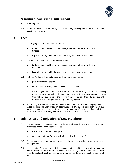

An application for membership of the association must be:

- 6.1 in writing; and
- 6.2 in the form decided by the management committee, including but not limited to a web based or online form.

#### <span id="page-8-2"></span><span id="page-8-0"></span>**7 Fees**

- 7.1 The Playing Fees for each Playing member:
	- a) is the amount decided by the management committee from time to time; and
	- b) is payable when, and in the way, the management committee decides.
- <span id="page-8-3"></span>7.2 The Supporter Fees for each Supporter member:
	- a) is the amount decided by the management committee from time to time; and
	- b) is payable when, and in the way, the management committee decides.
- 7.3 If, by 30 April in each calendar year any Playing member has not:
	- a) paid their Playing Fees; or
	- b) entered into an arrangement to pay their Playing Fees,

the management committee in their sole discretion, may rule that the Playing member may not participate in any scheduled game for the association (other than training) until such time as the Playing member has paid their Playing Fees or has entered into an arrangement to pay their Playing Fees.

7.4 Any Playing member or Supporter member who has not paid their Playing Fees or Supporter Fees (as appropriate) in accordance with this rule is not a Member of the association and is not entitled to vote at any meeting of the association, until that person has paid their Playing Fees or Supporter Fees (as appropriate).

# <span id="page-8-1"></span>**8 Admission and Rejection of New Members**

- 8.1 The management committee must consider an application for membership at the next committee meeting held after it receives:
	- a) the application for membership; and
	- b) any appropriate fee for the application, as described in rule [7.](#page-8-0)
- 8.2 The management committee must decide at the meeting whether to accept or reject the application.
- 8.3 If a majority of the members of the management committee present at the meeting vote to accept the applicant as a member, subject to any other requirements of these rules the applicant must be accepted as a member for the class of membership applied for.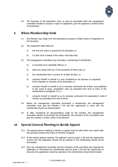

8.4 The Secretary of the association must, as soon as practicable after the management committee decides to accept or reject an application, give the applicant a written notice of thedecision.

# <span id="page-9-0"></span>**9 When Membership Ends**

- 9.1 Any Member may resign from the association by giving a written notice of resignation to the Secretary.
- 9.2 The resignation takes effect at:
	- a) the time the notice is received by the Secretary; or
	- b) if a later time is stated in the notice—that later time.
- 9.3 The management committee may terminate a membership if the Member:
	- a) is convicted of an indictable offence; or
	- b) does not comply with any of the provisions of these rules; or
	- c) has membership fees in arrears for at least 30 days ; or
	- d) conducts himself or herself in a way considered to be injurious or prejudicial to the character or interests of the association; or
	- e) conducts himself or herself so as to seriously contravene the written, and published to the world at large, competition rules (as amended from time to time) of the entitieslisted in paragraph [3.5;](#page-4-1) or
	- f) conducts himself or herself so as to seriously contravene the association's code of conduct (as amended from time to time).
- 9.4 Before the management committee terminates a membership, the management committee must give the Member a full and fair opportunity to show why the membership should not be terminated.
- 9.5 If, after considering all representations made by the member, the management committee decides to terminate the membership, the secretary of the committee must give the member a written notice of the decision.

# <span id="page-9-1"></span>**10 Special General Meeting to decide Appeal**

- 10.1 The special general meeting to decide an appeal must be held within one month after the secretary receives the notice of intention to appeal.
- 10.2 At the special general meeting, the applicant must be given a full and fair opportunity to show why the application should not be rejected or the membership should not be terminated.
- 10.3 Also, the management committee and the members of the committee who rejected the application or terminated the membership must be given a full and fair opportunity to showwhy the application should be rejected or the membership should be terminated.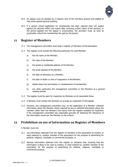

- 10.4 An appeal must be decided by a majority vote of the members present and eligible to vote atthe special general meeting.
- 10.5 If a person whose application for membership has been rejected does not appeal against the decision within one month after receiving written notice of the decision, or the person appeals but the appeal is unsuccessful, the secretary must, as soon as practicable, refund the membership fee paid by the person.

#### <span id="page-10-0"></span>**11 Register of Members**

- 11.1 The management committee must keep a register of Members of the association.
- 11.2 The register must include the following particulars for each Member:
	- a) the full name of the Member;
	- b) the class of the Member;
	- c) the postal or residential address of the Member;
	- d) the email address of the Member;
	- e) the date of admission as a Member;
	- f) the date of death or time of resignation of the Member;
	- g) details about the termination or reinstatement of membership;
	- h) any other particulars the management committee or the Members at a general meeting decide.
- 11.3 The register must be open for inspection by Members at all reasonable times.
- 11.4 A Member must contact the secretary to arrange an inspection of theregister.
- 11.5 However, the management committee may, on the application of a Member, withhold information about the Member where required by law or withhold information about the member (other than the Member's full name) from the register available for inspection if the management committee has reasonable grounds for believing the disclosure of the information would put the Member at risk of harm.

### <span id="page-10-1"></span>**12 Prohibition on use of Information on Register of Members**

A Member must not:

- 12.1 use information obtained from the register of members of the association to contact, or send material to, another member of the association for the purpose of advertising for political, religious, charitable or commercial purposes; or
- 12.2 disclose information obtained from the register to someone else, knowing that the information is likely to be used to contact, or send material to, another member of the association for the purpose of advertising for political, religious, charitable or commercial purpose.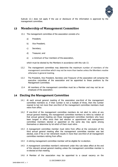

Subrule 12.1 does not apply if the use or disclosure of the information is approved by the management committee.

### <span id="page-11-0"></span>**13 Membership of Management Committee**

- 13.1 The management committee of the association consists of a:
	- a) President;
	- b) Vice President;
	- c) Secretary;
	- d) Treasurer; and
	- e) a minimum of four members of the association,

which must be elected by the Members in accordance with this rule 13.

- 13.2 The management committee may determine the maximum number of members of the management committee which may not be more than twelve unless the Members resolve otherwise in general meeting.
- 13.3 The President, Vice President, Secretary and Treasurer of the association will comprise the executive committee of the association and be appointed to these positions by the Management Committee.
- 13.4 All members of the management committee must be a Member and may not be an employee of the association.

#### <span id="page-11-1"></span>**14 Electing the Management Committee**

- 14.1 At each annual general meeting of the association one-third of the management committee members or, if their number is not a multiple of three, then the number nearest to but not more than one-third of the management committee members must retire from office.
- 14.2 If one-third of the management committee members do not elect to retire at any annual general meeting, the management committee members to retire by rotation at that annual general meeting are those management committee members who have been longest in office since their last election or appointment and management committee members elected or appointed on the same day may agree among themselves or determine by lot which of them must retire .
- 14.3 A management committee member must retire from office at the conclusion of the third annual general meeting after the management committee member was last elected, even if his or her retirement results in more than one-third of all management committee members retiring from office.
- 14.4 A retiring management committee member will be eligible for re-election.
- 14.5 A management committee member's retirement under this rule takes effect at the end of the relevant annual general meeting unless the management committee member is re-elected at that meeting.
- 14.6 A Member of the association may be appointed to a casual vacancy on the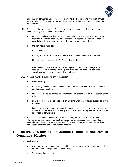

management committee under rule 16 but will hold office only until the next annual general meeting of the association and then must retire but is eligible on nomination for re-election.

- 14.7 Subject to the appointment of casual vacancies, a member of the management committee may only be elected as follows:
	- a) any two members eligible to vote, may nominate another Playing member, Parent member, Supporter member, Life member, Foundation or Perpetual member (**candidate**) to serve as a member of the management committee;
	- b) the nomination must be:
		- i. in writing; and
		- ii. signed by the candidate and the members who nominated the candidate;
		- iii. given to the secretary by 31 October in any given year.
	- c) each member of the association present in person or by proxy and eligible to vote at the annual general meeting may vote for one candidate for each vacant position on the management committee.;
- 14.8 A person may be a candidate only if the person:
	- a) is not a Minor;
	- b) is a Playing member, Parent member, Supporter member, Life member or Foundation and Perpetual member;
	- c) is not ineligible to be elected as a member under section 61A or other section of the Act;
	- d) is a fit and proper person capable of assisting with the strategic objectives of the Association.
	- e) is not a person who cannot manage the association because of mental incapacity nor a person whose estate or property has had a personal representative or trustee appointed to administer it.
- 14.9 A list of the candidates' names in alphabetical order, with the names of the members who nominated each candidate, must be posted in a conspicuous place in the office or usual place of meeting, or on the website of the association for at least seven days immediately preceding the annual general meeting.

# <span id="page-12-0"></span>**15 Resignation, Removal or Vacation of Office of Management Committee Member**

#### **15.1 Resignation**

- a) A member of the management committee may resign from the committee by giving written notice of resignation to the secretary.
- b) The resignation takes effect at: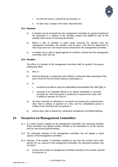

- i. the time the notice is received by the secretary; or
- ii. if a later time is stated in the notice—that later time.

#### **15.2 Removal**

- a) A member may be removed from the management committee at a general meeting of the association if a majority of the members present and eligible to vote at the meeting votein favour of removing the member.
- b) Before a vote of members is taken about removing the member from the management committee, the member must be given a full and fair opportunity to show cause why he or she should not be removed from the management committee.
- c) A member has no right of appeal against the members removal from the management committee under this rule.

#### **15.3 Vacation**

The office of a member of the management committee shall be vacated if the person holding that office:

- a) dies; or
- b) becomes bankrupt or compounds with creditors or otherwise takes advantage of the laws in force for the time being relating to bankruptcy; or
- c) is:
	- i. convicted of an offence under the Associations Incorporation Act 1981 (Qld); or
	- ii. convicted of an indictable offence or an offence punishable on summary conviction for which the person is sentenced to imprisonment, other than in default of payment of a fine; or
- d) has been convicted on indictment or summarily and sentenced to imprisonment, other than in default of payment of a fine, and the rehabilitation period in relation to the conviction has not expired; or
- e) without leave, fails to attend four consecutive management committee meetings.

# <span id="page-13-0"></span>**16 Vacancies on Management Committee**

- 16.1 If a casual vacancy happens on the management committee, the continuing members of the committee may appoint another member of the association to fill the vacancy until the next annual generalmeeting.
- 16.2 The continuing members of the management committee may act despite a casual vacancy onthe management committee.
- 16.3 However, if the number of committee members is less than the number fixed under subrule [19.1](#page-15-2) as a quorum of the management committee, the continuing members may act only to:
	- a) increase the number of management committee members to the number required fora quorum; or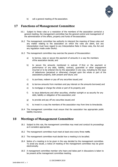

b) call a general meeting of the association.

### <span id="page-14-0"></span>**17 Functions of Management Committee**

- 16.1 Subject to these rules or a resolution of the members of the association carried at a general meeting, the management committee has the general control and management of the administration of the affairs, property and funds of the association.
- 16.2 The management committee has authority to interpret the meaning of these rules and any matter relating to the association on which the rules are silent, but any interpretation must have regard to any Interpretative Note in these rules, the Act and any regulation made under theAct.
- <span id="page-14-3"></span>16.3 The management committee may exercise the powers of the association:
	- a) to borrow, raise or secure the payment of amounts in a way the members ofthe association decide; and
	- b) to secure the amounts mentioned in subrule [17.3\(a\)](#page-14-3) or the payment or performance of any debt, liability, contract, guarantee or other engagement incurred or to be entered into by the association in any way, including by the issue of debentures (perpetual or otherwise) charged upon the whole or part of the associations property, both present and future; and
	- c) to purchase, redeem or pay off any securities issued; and
	- d) to borrow amounts from members and pay interest on the amounts borrowed; and
	- e) to mortgage or charge the whole or part of its property; and
	- f) to issue debentures and other securities, whether outright or as security for any debt, liability or obligation of the association; and
	- g) to provide and pay off any securities issued; and
	- h) to invest in a way the members of the association may from time to timedecide.
- 16.4 The management committee must ensure that the association has appropriate public liability insurance.

#### <span id="page-14-1"></span>**18 Meetings of Management Committee**

- 18.1 Subject to this rule, the management committee may meet and conduct its proceedings as it considers appropriate.
- 18.2 The management committee must meet at least once every three months.
- 18.3 The management committee must decide how a meeting is to be called.
- 18.4 Notice of a meeting is to be given in the way decided by the management committee. To avoid any doubt, a notice of meeting of the management committee may be given electronically.
- <span id="page-14-2"></span>18.5 A management committee member who hears and takes part in discussions is taken to be present atthe management committee meeting.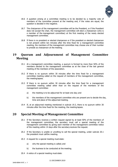

- 18.6 A question arising at a committee meeting is to be decided by a majority vote of members of the committee present at the meeting and, if the votes are equal, the question is decided in the negative.
- 18.7 The chairperson of the management committee will be the President, or if the President does not accept the chair, the management committee will elect a chairperson (who is a member of the management committee) at the first meeting of the newly elected management committee.
- 18.8 If there is no president or elected chairperson or if the president or elected chairperson is not present within ten minutes after the time fixed for a management committee meeting, the members of the management committee may choose one of their number to preside as chairperson at the meeting.

# <span id="page-15-2"></span><span id="page-15-0"></span>**19 Quorum and Adjournment of Management Committee Meeting**

- 19.1 At a management committee meeting, a quorum is formed by more than 50% of the members elected to the management committee as at the close of the last general meeting of the members of the association.
- 19.2 If there is no quorum within 30 minutes after the time fixed for a management committee meeting called on the request of members of the management committee, the meetinglapses.
- <span id="page-15-3"></span>19.3 If there is no quorum within 30 minutes after the time fixed for a management committee meeting called other than on the request of the members of the management committee:
	- a) the meeting is to be adjourned for at least one day; and
	- b) the members of the management committee who are present are to decide the day, time and place of the adjourned meeting.
- 19.4 If, at an adjourned meeting mentioned in subrule [19.3,](#page-15-3) there is no quorum within 30 minutes after the time fixed for the meeting, the meeting lapses.

# <span id="page-15-1"></span>**20 Special Meeting of Management Committee**

- 20.1 If the Secretary receives a written request signed by at least 50% of the members of the management committee, the secretary must call a special meeting of the management committee by giving each member of the management committee notice of the meeting within 14 days after the secretary receives the request.
- 20.2 If the Secretary is unable or unwilling to call the special meeting, under subrule 20.1 the president must callthe meeting.
- 20.3 A request for a special meeting must state:
	- a) why the special meeting is called; and
	- b) the business to be conducted at the meeting.
- 20.4 A notice of a special meeting must state: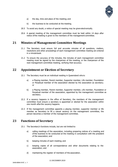

- <span id="page-16-3"></span>a) the day, time and place of the meeting; and
- b) the business to be conducted at the meeting.
- 20.5 To avoid any doubt, a notice of special meeting may be given electronically.
- 20.6 A special meeting of the management committee must be held within 14 days after notice ofthe meeting is given to the members of the management committee.

### <span id="page-16-0"></span>**21 Minutes of Management Committee Meetings**

- 21.1 The Secretary must ensure full and accurate minutes of all questions, matters, resolutions and other proceedings of each management committee meeting are entered in a minutebook.
- 21.2 To ensure the accuracy of the minutes, the minutes of each management committee meeting must be signed by the chairperson of the meeting, or the chairperson of the next management committee meeting, verifying their accuracy.

# <span id="page-16-1"></span>**22 Appointment or Election of Secretary**

- 22.1 The Secretary must be an individual residing in Queensland who is:
	- a) a Playing member, Parent member, Supporter member, Life member, Foundation or Perpetual member of the association elected by the association as secretary; or
	- b) a Playing member, Parent member, Supporter member, Life member, Foundation or Perpetual member of the association, appointed by the management committee as secretary.
- 22.2 If a vacancy happens in the office of Secretary, the members of the management committee must ensure a secretary is appointed or elected for the association within one month afterthe vacancy happens.
- 22.3 If the management committee appoints a playing member, supporter member or life member as Secretary to fill a casual vacancy on the management committee, the person becomes a member of the management committee.

# <span id="page-16-2"></span>**23 Functions of Secretary**

- 23.1 The Secretary's functions include, but are not limited to:
	- a) calling meetings of the association, including preparing notices of a meeting and ofthe business to be conducted at the meeting in consultation with the president of the association; and
	- b) keeping minutes of each meeting; and
	- c) keeping copies of all correspondence and other documents relating to the association; and
	- d) maintaining the register of members of the association.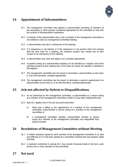

# **24 Appointment of Subcommittees**

- 24.1 The management committee may appoint a subcommittee consisting of members of the association or other persons considered appropriate by the committee to help with the conduct of theassociation's operations.
- 24.2 A member of the subcommittee who is not a member of the management committee is not entitled to vote at a management committee meeting.
- 24.3 A subcommittee may elect a chairperson of its meetings.
- 24.4 If a chairperson is not elected, or if the chairperson is not present within ten minutes after the time fixed for a meeting, the members present may choose one of their number to be chairperson of the meeting.
- 24.5 A subcommittee may meet and adjourn as it considers appropriate.
- 24.6 A question arising at a subcommittee meeting is to be decided by a majority vote of the members present at the meeting and, if the votes are equal, the question is decided in the negative.
- 24.7 The management committee has the power to terminate a subcommittee as and when it, inits sole discretion, considers appropriate.
- 24.8 The management committee has the power to terminate a person's appointment to a subcommittee as and when it, in its sole discretion, considers appropriate.

# <span id="page-17-3"></span><span id="page-17-0"></span>**25 Acts not affected by Defects or Disqualifications**

- 25.1 An act performed by the management committee, a subcommittee or a person acting as a member of the management committee is taken to have been validly performed.
- 25.2 Rule [25.1](#page-17-3) applies even if the act was performed when:
	- a) there was a defect in the appointment of a member of the management committee, subcommittee or person acting as a member of the management committee; or
	- b) a management committee member, subcommittee member or person acting as a member of the management committee was disqualified from being amember.

### <span id="page-17-4"></span><span id="page-17-1"></span>**26 Resolutions of Management Committee without Meeting**

- 26.1 A written resolution signed by each member of the management committee is as valid and effectual as if it had been passed at a committee meeting that was properly called and held.
- 26.2 A resolution mentioned in subrule [26.1](#page-17-4) may consist of several emails in like form, each sent by one or more members of the committee.

# <span id="page-17-2"></span>**27 Not used**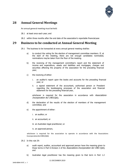

# <span id="page-18-0"></span>**28 Annual General Meetings**

An annual general meeting must beheld:

- 28.1 at least once each year; and
- 28.2 within three months after the end date of the association's reportable financialyear.

### <span id="page-18-1"></span>**29 Business to be conducted at Annual General Meeting**

- 29.1 The business to be transacted at every annual general meeting shallbe:
	- a) to conduct the voting for the election of management committee members. If, at the start of the meeting, there are not enough candidates nominated, nominations may be taken from the floor of the meeting.
	- b) the receiving of the management committee's report and the statement of income and expenditure, assets and liabilities and mortgages, charges and securities affecting the property of the association for the preceding financial year;
	- c) the receiving of either:
		- i. an auditor's report upon the books and accounts for the preceding financial year; or
		- ii. a signed statement of the accountant, authorised person or President regarding the bookkeeping processes of the association and financial statement for the preceding financial year,

whichever is required for the association in accordance with Associations Incorporation Act 1981(Qld);

- d) the declaration of the results of the election of members of the management committee; and
- e) the appointment of either:
	- i. an auditor; or
	- ii. an accountant; or
	- iii. an Australian legal practitioner; or
	- iv. an approved person,

whichever is required for the association to operate in accordance with the Associations IncorporationAct1981(Qld).

- 29.2 In this rule [29:](#page-18-1)
	- a) audit report, auditor, accountant and approved person have the meaning given to those terms in Part 6 Division 2 of the Associations Incorporation Act 1981 (Qld); and
	- b) Australian legal practitioner has the meaning given to that term in Part 1.2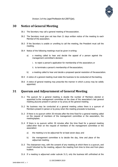

Division 2 of the Legal Profession Act 2007(Qld).

## <span id="page-19-0"></span>**30 Notice of General Meeting**

- 30.1 The Secretary may call a general meeting of the association.
- 30.2 The Secretary must give not less than 21 days written notice of the meeting to each Memberof the association.
- 30.3 If the Secretary is unable or unwilling to call the meeting, the President must call the meeting.
- 30.4 Notice of the following meetings must be given in writing:
	- a) a meeting called to hear and decide the appeal of a person against the management committee's decision:
		- i. to reject a person's application for membership of the association;or
		- ii. to terminate a person's membership of the association;
	- b) a meeting called to hear and decide a proposed special resolution of the association.
- 30.5 A notice of a general meeting must state the business to be conducted at themeeting.
- 30.6 A notice of general meeting may prescribe the manner in which a proxy may be validly appointed.

# <span id="page-19-1"></span>**31 Quorum and Adjournment of General Meeting**

- 31.1 The quorum for a general meeting is double the number of Members elected or appointed to the management committee at the close of the association's last general meeting plusone present in person or by proxy at the general meeting.
- 31.2 No business may be conducted at a general meeting unless there is a quorum of Members present in person or by proxy when the meeting proceeds to business.
- 31.3 If there is no quorum within 30 minutes after the time fixed for a general meeting called on the request of members of the management committee or the association, the meetinglapses.
- 31.4 If there is no quorum within 30 minutes after the time fixed for a general meeting called other than on the request of members of the management committee or the association:
	- a) the meeting is to be adjourned for at least seven days; and
	- b) the management committee is to decide the day, time and place of the adjourned meeting.
- <span id="page-19-2"></span>31.5 The chairperson may, with the consent of any meeting at which there is a quorum, and mustif directed by the meeting, adjourn the meeting from time to time and from place to place.
- 31.6 If a meeting is adjourned under subrule [31.5,](#page-19-2) only the business left unfinished at the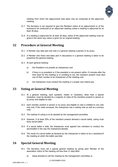

meeting from which the adjournment took place may be conducted at the adjourned meeting.

- 31.7 The Secretary is not required to give the Members notice of an adjournment or of the business to be conducted at an adjourned meeting unless a meeting is adjourned for at least 30 days.
- 31.8 If a meeting is adjourned for at least 30 days, notice of the adjourned meeting must be givenin the same way notice is given for an original meeting.

# <span id="page-20-0"></span>**32 Procedure at General Meeting**

- 32.1 A Member may take part and vote in a general meeting in person or by proxy.
- <span id="page-20-3"></span>32.2 A Member who hears and takes part in discussions in a general meeting is taken to be presentat the general meeting.
- 32.3 At each general meeting:
	- a) the President is to preside as chairperson; and
	- b) if there is no president or if the president is not present within 15 minutes after the time fixed for the meeting or is unwilling to act, the members present must elect one of their number to be chairperson of the meeting; and
	- c) the chairperson must conduct the meeting in a proper and orderly way.

# <span id="page-20-1"></span>**33 Voting at General Meeting**

- 33.1 At a general meeting, each question, matter or resolution, other than a special resolution, must be decided by a majority of votes of the members present in person or by proxy and eligible to vote.
- 33.2 Each member present in person or by proxy and eligible to vote is entitled to one vote only and, if the votes are equal, the chairperson has a casting vote as well as a primary vote.
- 33.3 The method of voting is to be decided by the management committee.
- 33.4 However, if at least 20% of the members present demand a secret ballot, voting must beby secret ballot.
- 33.5 If a secret ballot is held, the chairperson must appoint two members to conduct the secretballot in the way the chairperson decides.
- 33.6 The result of a secret ballot as declared by the chairperson is taken to be a resolutionof the meeting at which the ballot was held.

# <span id="page-20-2"></span>**34 Special General Meeting**

- 34.1 The Secretary must call a special general meeting by giving each Member of the association notice of the meeting not less than 21 days after:
	- a) being directed to call the meeting by the management committee; or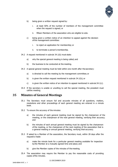

- <span id="page-21-1"></span>b) being given a written request signed by:
	- i. at least 50% of the number of members of the management committee when the request is signed; or
	- ii. fifteen Members of the association who are eligible to vote.
- <span id="page-21-2"></span>c) being given a written notice of an intention to appeal against the decision ofthe management committee:
	- i. to reject an application for membership; or
	- ii. to terminate a person's membership.
- 34.2 A request mentioned in subrule [34.1\(b\)](#page-21-1) must state:
	- a) why the special general meeting is being called; and
	- b) the business to be conducted at the meeting.
- 34.3 A special general meeting must be held within one month after the secretary:
	- a) is directed to call the meeting by the management committee; or
	- b) is given the written request mentioned in subrule [34.1\(b\);](#page-21-1) or
	- c) is given the written notice of an intention to appeal mentioned in subrule  $34.1(c)$ .
- 34.4 If the secretary is unable or unwilling to call the special meeting, the president must callthe meeting.

#### <span id="page-21-0"></span>**35 Minutes of General Meetings**

- 35.1 The Secretary must ensure full and accurate minutes of all questions, matters, resolutions and other proceedings of each general meeting are entered in a minute book.
- 35.2 To ensure the accuracy of the minutes:
	- a) the minutes of each general meeting must be signed by the chairperson of the meeting, or the chairperson of the next general meeting, verifying their accuracy; and
	- b) the minutes of each annual general meeting must be signed by the chairperson of the meeting, or the chairperson of the next meeting of the association that is a general meeting or annual general meeting, verifying their accuracy.
- 35.3 If asked by a Member of the association, the Secretary must, within 28 days after the requestis made:
	- a) make the minute book for a particular general meeting available for inspection by the Member at a mutually agreed time and place; and
	- b) give the Member copies of the minutes of the meeting.
- 35.4 The association may require the Member to pay the reasonable costs of providing copies ofthe minutes.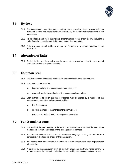

### <span id="page-22-0"></span>**36 By-laws**

- 36.1 The management committee may, in writing, make, amend or repeal by-laws, including a code of conduct not inconsistent with these rules, for the internal management of the association.
- 36.2 To be effective and valid, the making, amendment or repeal of any by-law, including a code of conduct, must be notified to members of the association.
- 36.3 A by-law may be set aside by a vote of Members at a general meeting of the association.

### <span id="page-22-1"></span>**37 Alteration of Rules**

37.1 Subject to the Act, these rules may be amended, repealed or added to by a special resolution carried at a general meeting.

### <span id="page-22-2"></span>**38 Common Seal**

- 38.1 The management committee must ensure the association has a common seal.
- 38.2 The common seal must be:
	- a) kept securely by the management committee; and
	- b) used only under the authority of the management committee.
- 38.3 Each instrument to which the seal is attached must be signed by a member of the management committee and countersigned by:
	- a) the Secretary; or
	- b) another member of the management committee; or
	- c) someone authorised by the management committee.

#### <span id="page-22-3"></span>**39 Funds and Accounts**

- 39.1 The funds of the association must be kept in an account in the name of the association ina financial institution decided by the management committee.
- 39.2 Records and accounts must be kept in the English language showing full and accurate particulars of the financial affairs of the association.
- 39.3 All amounts must be deposited in the financial institutionaccount as soon as practicable after receipt.
- 39.4 A payment by the association must be made by cheque or electronic funds transfer in accordance with the delegation schedule determined by the management committee.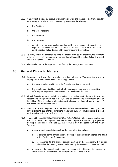

- 39.5 If a payment is made by cheque or electronic transfer, the cheque or electronic transfer must be signed or electronically released by any two of the following:
	- a) the President;
	- b) the Vice President;
	- c) the Secretary;
	- d) the Treasurer;
	- e) any other person who has been authorised by the management committee to sign cheques issued by the association in accordance with an Authorisation and Delegation Policy developed by the management committee.
- 39.6 However, one of the persons who signs the cheque must be the president, the secretary or the treasurer or in accordance with an Authorisation and Delegation Policy developed by the Management Committee.
- 39.7 All expenditure must be approved or ratified by the management committee.

### <span id="page-23-0"></span>**40 General Financial Matters**

- 40.1 As soon as practicable after the end of each financial year the Treasurer shall cause to be prepared a financial statement containing particulars of:
	- a) the income and expenditure for the financial year just ended; and
	- b) the assets and liabilities and of all mortgages, charges and securities affectingthe property of the Association at the close of that year.
- 40.2 All such financial statements shall be examined in accordance with the provisions of the Associations Incorporation Act 1981 (Old) and be presented to the secretary prior to the holding of the annual general meeting next following the financial year in respect of which such examination was made.
- 40.3 In accordance with the provisions of the *Associations Incorporation Act 1981* (Qld) the party examining the financial statements under sub rule (10) must prepare a signed audit reportor statement, whichever is applicable.
- 40.4 If required by the Associations Incorporation Act 1981 (Qld), within one month after the financial statement and signed statement or audit report are received by a general meeting in accordance with rule [30,](#page-18-1) the following must be lodged with the Chief Executive:
	- a) a copy of the financial statement for the reportable financialyear:
		- i. as adopted at the annual general meeting of the association, signed and dated by the President or Treasurer; or
		- ii. as presented to the annual general meeting of the association, if it is not adopted at the meeting, signed and dated by the President or Treasurer;and
	- b) a copy of the signed audit report or statement, whichever is required in accordance with the Associations Incorporation Act 1981 (Old); and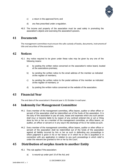

- c) a return in the approved form; and
- d) any fees prescribed under a regulation.
- 40.5 The income and property of the association must be used solely in promoting the association's objects and exercising the association's powers.

#### <span id="page-24-0"></span>**41 Documents**

The management committee must ensure the safe custody of books, documents, instrumentsof title and securities of the association.

### <span id="page-24-1"></span>**42 Notices**

- 42.1 Any notice required to be given under these rules may be given by any one of the following means:
	- a) by posting the written notice concerned on the association's notice board, located at the associations premises;
	- b) by sending the written notice to the email address of the member as indicated onthe register of members;
	- c) by sending the written notice to the postal address of the member as indicated onthe register of members; or
	- d) by posting the written notice concerned on the website of the association.

#### <span id="page-24-2"></span>**43 Financial Year**

The end date of the association's financial year is 31 October in eachyear.

### <span id="page-24-3"></span>**44 Indemnity for Management Committee**

- 44.1 Every member of the management committee, office bearer, auditor or other officer or servant of the association shall be indemnified out of the funds of the association. It is the duty of the association to pay all costs, losses and expenses which any such person shall incur or become liable to by reason of any contract entered into or act or thing done by him or her as a member of the management committee, an office bearer, an auditor, an officer or servant or in any wayin the discharge of his or her duties as such.
- 44.2 Every member of the management committee, officer bearer, auditor or other officer or servant of the association shall be indemnified out of the funds of the association against all liability incurred by him or her as such in defending any proceedings in which judgment is given in his or her favour or in which he or she is acquitted or in connection with any application in relation to any such proceedings in which relief is under the relevant law granted to him or her by the Court.

# **45 Distribution of surplus Assets to another Entity**

- <span id="page-24-4"></span>45.1 This rule applies if the association:
	- a) is wound-up under part 10 of the Act; and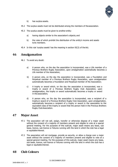

- b) has surplus assets.
- 45.2 The surplus assets must not be distributed among the members of theassociation.
- 45.3 The surplus assets must be given to another entity:
	- a) having objects similar to the association's objects; and
	- b) the rules of which prohibit the distribution of the entity's income and assets to its members.
- 45.4 In this rule 'surplus assets' has the meaning in section 92(3) of the Act.

#### <span id="page-25-0"></span>**46 Amalgamation**

46.1 To avoid any doubt:

- a) A person who, on the day the association is incorporated, was a Life member of a Previous Brothers Rugby Association, upon amalgamation automatically becomes a Life member of the Association;
- b) A person who, on the day the association is incorporated, was a Foundation and Perpetual member of a Previous Brothers Rugby Association, upon amalgamation automatically becomes a Foundation and Perpetual member of the Association;
- c) A trophy or award which, on the day the association is incorporated, was a trophy or award of a Previous Brothers Rugby Club Association, upon amalgamation, the trophy or award automatically becomes a trophy or award in the association;
- d) A person who, on the day the association is incorporated, was a recipient of a trophyor award of a Previous Brothers Rugby Club Association, upon amalgamation, automatically becomes a recipient of a trophy or award in the association to the equivalent class of the trophy or award that the person held in the Previous Brothers Rugby Club Association.

#### <span id="page-25-1"></span>**47 Major Asset**

- 47.1 The association will not sell, assign, transfer or otherwise dispose of a major asset without the consent of a majority of members present and eligible to vote at a special general meeting. For the purposes of this subrule, major asset means any lease, sub lease, licence, sub licence or fixtures running with the land in which the club has a legal or equitable interest.
- 47.2 The association will not mortgage, provide as security, or allow a charge over a major asset without the consent of a majority of members present and eligible to vote at a special general meeting. For the purposes of this subrule, major asset means any lease, sub lease, licence, sub licence or fixtures running with the land in which the club has a legal or equitable interest.

### <span id="page-25-2"></span>**48 Club Colours**